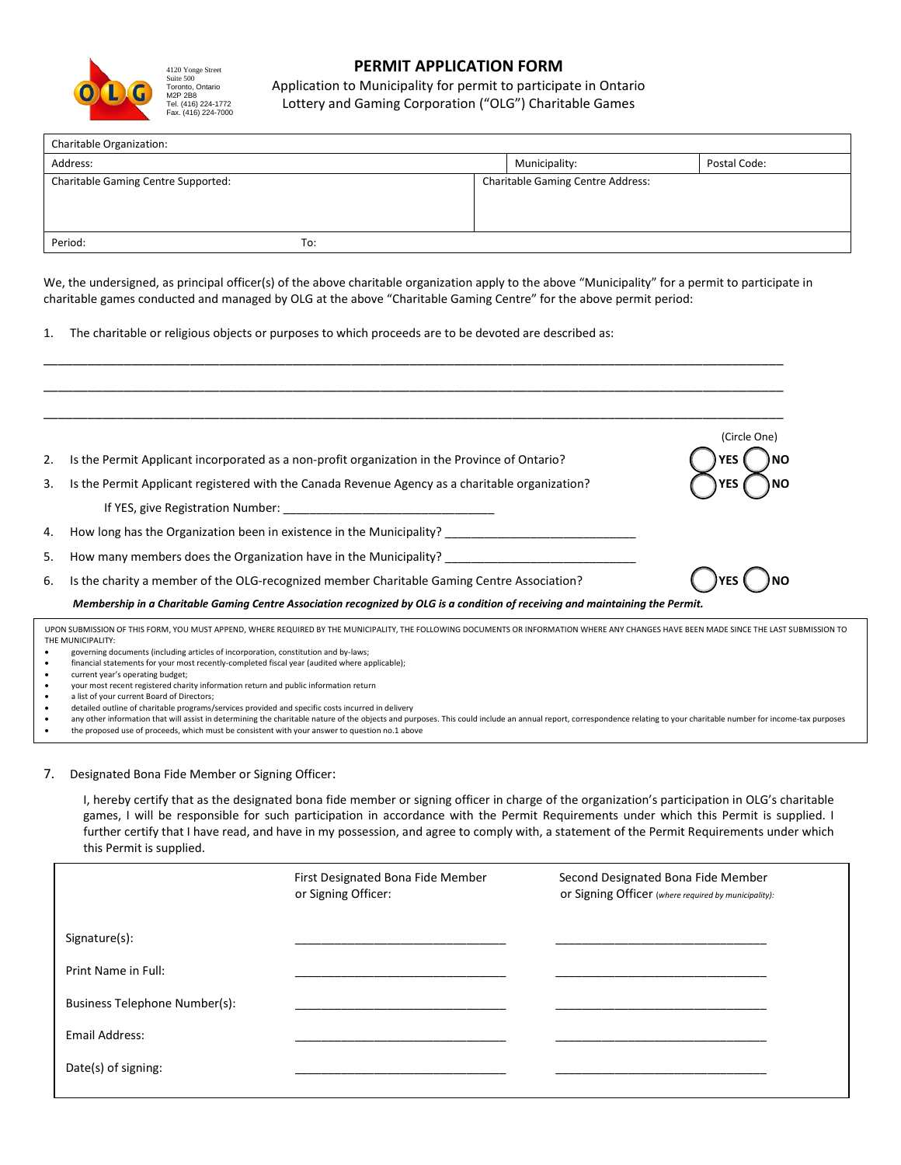

## **PERMIT APPLICATION FORM**

Application to Municipality for permit to participate in Ontario Lottery and Gaming Corporation ("OLG") Charitable Games

| Charitable Organization:            |     |                                          |              |
|-------------------------------------|-----|------------------------------------------|--------------|
| Address:                            |     | Municipality:                            | Postal Code: |
| Charitable Gaming Centre Supported: |     | <b>Charitable Gaming Centre Address:</b> |              |
|                                     |     |                                          |              |
|                                     |     |                                          |              |
| Period:                             | To: |                                          |              |

We, the undersigned, as principal officer(s) of the above charitable organization apply to the above "Municipality" for a permit to participate in charitable games conducted and managed by OLG at the above "Charitable Gaming Centre" for the above permit period:

\_\_\_\_\_\_\_\_\_\_\_\_\_\_\_\_\_\_\_\_\_\_\_\_\_\_\_\_\_\_\_\_\_\_\_\_\_\_\_\_\_\_\_\_\_\_\_\_\_\_\_\_\_\_\_\_\_\_\_\_\_\_\_\_\_\_\_\_\_\_\_\_\_\_\_\_\_\_\_\_\_\_\_\_\_\_\_\_\_\_\_\_\_\_\_\_\_\_\_\_\_

1. The charitable or religious objects or purposes to which proceeds are to be devoted are described as:

|           |                                                                                                                                                                                                                         | (Circle One) |  |  |
|-----------|-------------------------------------------------------------------------------------------------------------------------------------------------------------------------------------------------------------------------|--------------|--|--|
| 2.        | Is the Permit Applicant incorporated as a non-profit organization in the Province of Ontario?                                                                                                                           |              |  |  |
| 3.        | Is the Permit Applicant registered with the Canada Revenue Agency as a charitable organization?                                                                                                                         |              |  |  |
|           | If YES, give Registration Number: New York 2014                                                                                                                                                                         |              |  |  |
| 4.        | How long has the Organization been in existence in the Municipality?                                                                                                                                                    |              |  |  |
| 5.        | How many members does the Organization have in the Municipality?                                                                                                                                                        |              |  |  |
| 6.        | Is the charity a member of the OLG-recognized member Charitable Gaming Centre Association?                                                                                                                              |              |  |  |
|           | Membership in a Charitable Gaming Centre Association recognized by OLG is a condition of receiving and maintaining the Permit.                                                                                          |              |  |  |
|           | UPON SUBMISSION OF THIS FORM, YOU MUST APPEND, WHERE REQUIRED BY THE MUNICIPALITY, THE FOLLOWING DOCUMENTS OR INFORMATION WHERE ANY CHANGES HAVE BEEN MADE SINCE THE LAST SUBMISSION TO                                 |              |  |  |
| $\bullet$ | THE MUNICIPALITY:<br>governing documents (including articles of incorporation, constitution and by-laws;                                                                                                                |              |  |  |
| $\bullet$ | financial statements for your most recently-completed fiscal year (audited where applicable);                                                                                                                           |              |  |  |
| $\bullet$ | current year's operating budget;                                                                                                                                                                                        |              |  |  |
| $\bullet$ | your most recent registered charity information return and public information return                                                                                                                                    |              |  |  |
| $\bullet$ | a list of your current Board of Directors;                                                                                                                                                                              |              |  |  |
| $\bullet$ | detailed outline of charitable programs/services provided and specific costs incurred in delivery                                                                                                                       |              |  |  |
|           | any other information that will assist in determining the charitable nature of the objects and purposes. This could include an annual report, correspondence relating to your charitable number for income-tax purposes |              |  |  |

• the proposed use of proceeds, which must be consistent with your answer to question no.1 above

## 7. Designated Bona Fide Member or Signing Officer:

I, hereby certify that as the designated bona fide member or signing officer in charge of the organization's participation in OLG's charitable games, I will be responsible for such participation in accordance with the Permit Requirements under which this Permit is supplied. I further certify that I have read, and have in my possession, and agree to comply with, a statement of the Permit Requirements under which this Permit is supplied.

|                               | First Designated Bona Fide Member<br>or Signing Officer: | Second Designated Bona Fide Member<br>Or Signing Officer (where required by municipality): |
|-------------------------------|----------------------------------------------------------|--------------------------------------------------------------------------------------------|
| Signature(s):                 |                                                          |                                                                                            |
| Print Name in Full:           |                                                          |                                                                                            |
| Business Telephone Number(s): |                                                          |                                                                                            |
| Email Address:                |                                                          |                                                                                            |
| Date(s) of signing:           |                                                          |                                                                                            |
|                               |                                                          |                                                                                            |